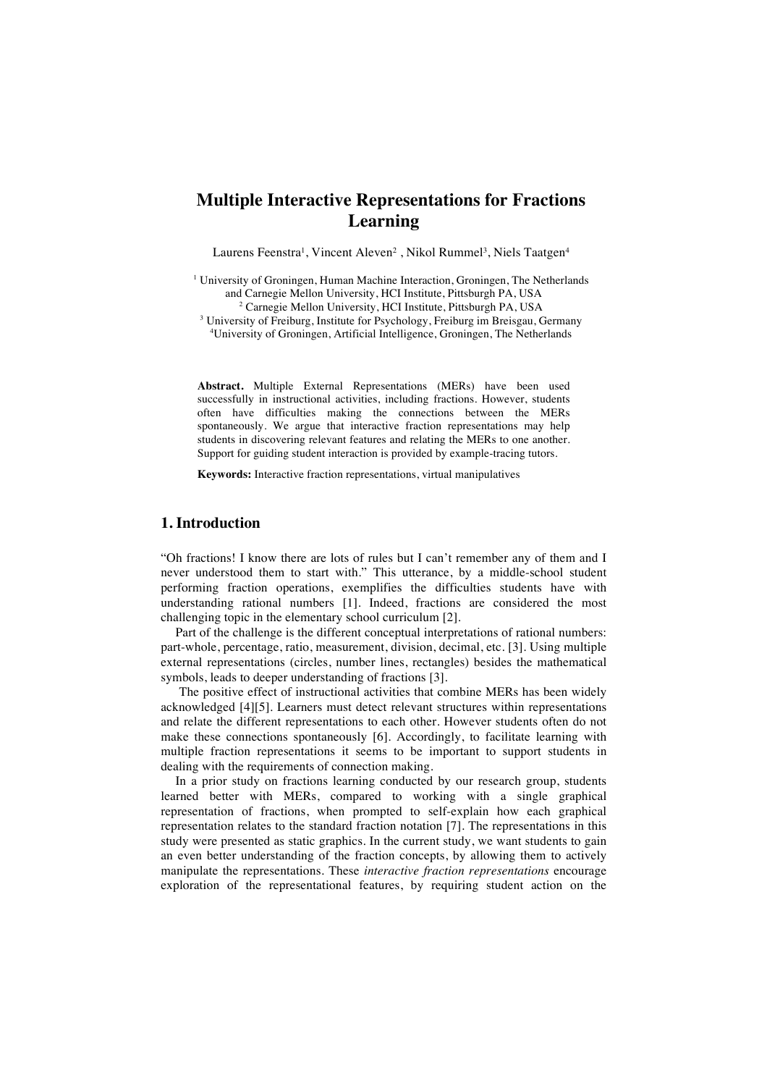## **Multiple Interactive Representations for Fractions Learning**

Laurens Feenstra<sup>1</sup>, Vincent Aleven<sup>2</sup> , Nikol Rummel<sup>3</sup>, Niels Taatgen<sup>4</sup>

<sup>1</sup> University of Groningen, Human Machine Interaction, Groningen, The Netherlands and Carnegie Mellon University, HCI Institute, Pittsburgh PA, USA <sup>2</sup> Carnegie Mellon University, HCI Institute, Pittsburgh PA, USA

<sup>3</sup> University of Freiburg, Institute for Psychology, Freiburg im Breisgau, Germany 4 University of Groningen, Artificial Intelligence, Groningen, The Netherlands

**Abstract.** Multiple External Representations (MERs) have been used successfully in instructional activities, including fractions. However, students often have difficulties making the connections between the MERs spontaneously. We argue that interactive fraction representations may help students in discovering relevant features and relating the MERs to one another. Support for guiding student interaction is provided by example-tracing tutors.

**Keywords:** Interactive fraction representations, virtual manipulatives

## **1. Introduction**

"Oh fractions! I know there are lots of rules but I can't remember any of them and I never understood them to start with." This utterance, by a middle-school student performing fraction operations, exemplifies the difficulties students have with understanding rational numbers [1]. Indeed, fractions are considered the most challenging topic in the elementary school curriculum [2].

Part of the challenge is the different conceptual interpretations of rational numbers: part-whole, percentage, ratio, measurement, division, decimal, etc. [3]. Using multiple external representations (circles, number lines, rectangles) besides the mathematical symbols, leads to deeper understanding of fractions [3].

The positive effect of instructional activities that combine MERs has been widely acknowledged [4][5]. Learners must detect relevant structures within representations and relate the different representations to each other. However students often do not make these connections spontaneously [6]. Accordingly, to facilitate learning with multiple fraction representations it seems to be important to support students in dealing with the requirements of connection making.

In a prior study on fractions learning conducted by our research group, students learned better with MERs, compared to working with a single graphical representation of fractions, when prompted to self-explain how each graphical representation relates to the standard fraction notation [7]. The representations in this study were presented as static graphics. In the current study, we want students to gain an even better understanding of the fraction concepts, by allowing them to actively manipulate the representations. These *interactive fraction representations* encourage exploration of the representational features, by requiring student action on the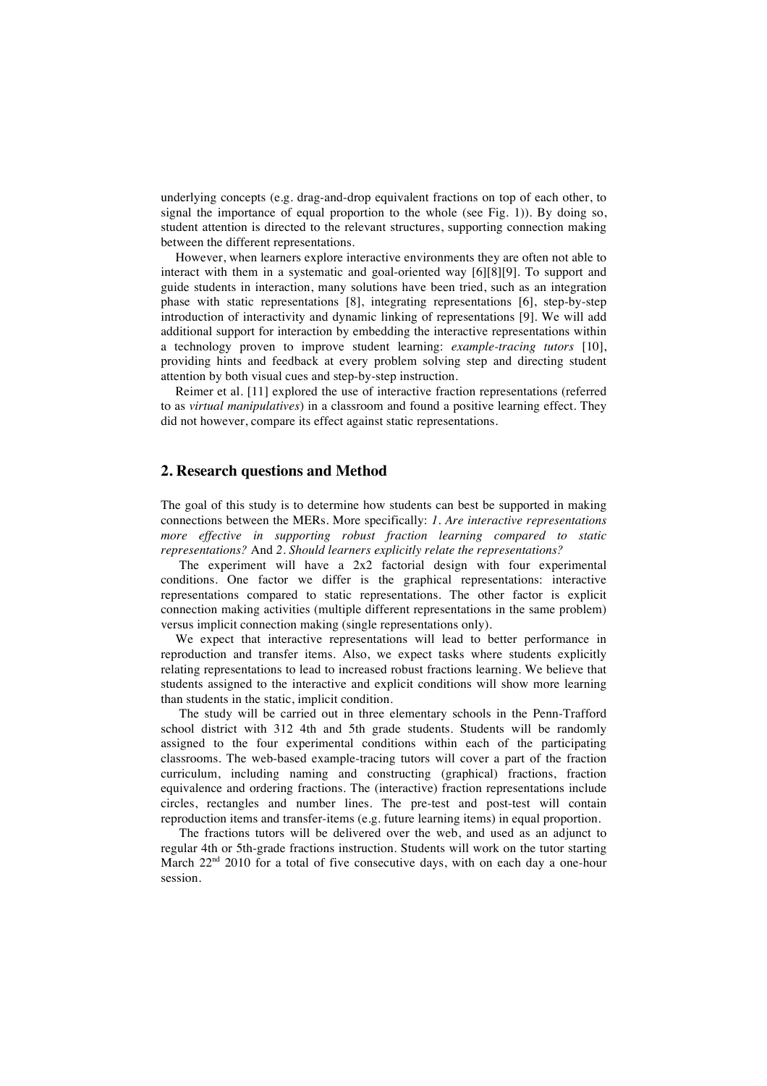underlying concepts (e.g. drag-and-drop equivalent fractions on top of each other, to signal the importance of equal proportion to the whole (see Fig. 1)). By doing so, student attention is directed to the relevant structures, supporting connection making between the different representations.

However, when learners explore interactive environments they are often not able to interact with them in a systematic and goal-oriented way [6][8][9]. To support and guide students in interaction, many solutions have been tried, such as an integration phase with static representations [8], integrating representations [6], step-by-step introduction of interactivity and dynamic linking of representations [9]. We will add additional support for interaction by embedding the interactive representations within a technology proven to improve student learning: *example-tracing tutors* [10], providing hints and feedback at every problem solving step and directing student attention by both visual cues and step-by-step instruction.

Reimer et al. [11] explored the use of interactive fraction representations (referred to as *virtual manipulatives*) in a classroom and found a positive learning effect. They did not however, compare its effect against static representations.

## **2. Research questions and Method**

The goal of this study is to determine how students can best be supported in making connections between the MERs. More specifically: *1. Are interactive representations more effective in supporting robust fraction learning compared to static representations?* And *2. Should learners explicitly relate the representations?*

The experiment will have a 2x2 factorial design with four experimental conditions. One factor we differ is the graphical representations: interactive representations compared to static representations. The other factor is explicit connection making activities (multiple different representations in the same problem) versus implicit connection making (single representations only).

We expect that interactive representations will lead to better performance in reproduction and transfer items. Also, we expect tasks where students explicitly relating representations to lead to increased robust fractions learning. We believe that students assigned to the interactive and explicit conditions will show more learning than students in the static, implicit condition.

The study will be carried out in three elementary schools in the Penn-Trafford school district with 312 4th and 5th grade students. Students will be randomly assigned to the four experimental conditions within each of the participating classrooms. The web-based example-tracing tutors will cover a part of the fraction curriculum, including naming and constructing (graphical) fractions, fraction equivalence and ordering fractions. The (interactive) fraction representations include circles, rectangles and number lines. The pre-test and post-test will contain reproduction items and transfer-items (e.g. future learning items) in equal proportion.

The fractions tutors will be delivered over the web, and used as an adjunct to regular 4th or 5th-grade fractions instruction. Students will work on the tutor starting March 22<sup>nd</sup> 2010 for a total of five consecutive days, with on each day a one-hour session.